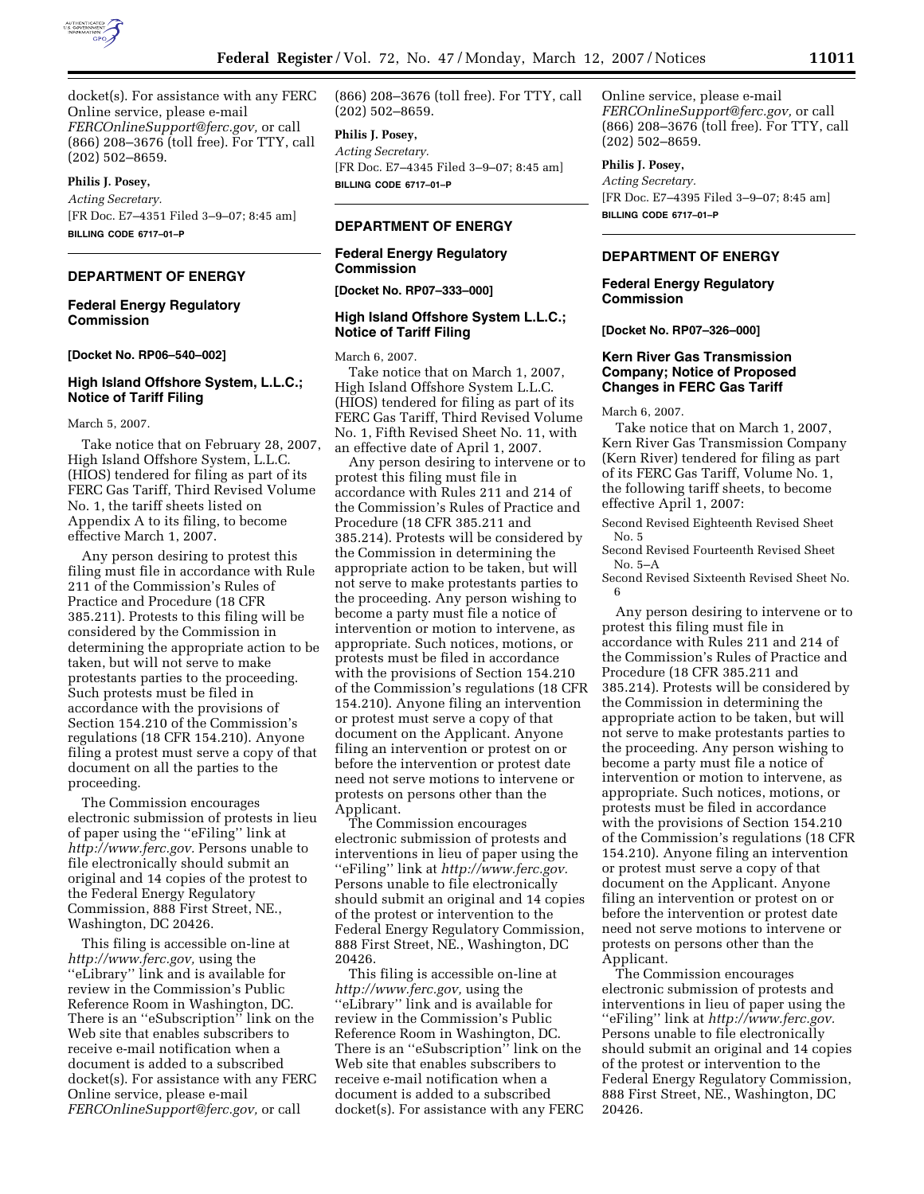

docket(s). For assistance with any FERC Online service, please e-mail *FERCOnlineSupport@ferc.gov,* or call (866) 208–3676 (toll free). For TTY, call (202) 502–8659.

### **Philis J. Posey,**

*Acting Secretary.*  [FR Doc. E7–4351 Filed 3–9–07; 8:45 am] **BILLING CODE 6717–01–P** 

## **DEPARTMENT OF ENERGY**

## **Federal Energy Regulatory Commission**

**[Docket No. RP06–540–002]** 

# **High Island Offshore System, L.L.C.; Notice of Tariff Filing**

March 5, 2007.

Take notice that on February 28, 2007, High Island Offshore System, L.L.C. (HIOS) tendered for filing as part of its FERC Gas Tariff, Third Revised Volume No. 1, the tariff sheets listed on Appendix A to its filing, to become effective March 1, 2007.

Any person desiring to protest this filing must file in accordance with Rule 211 of the Commission's Rules of Practice and Procedure (18 CFR 385.211). Protests to this filing will be considered by the Commission in determining the appropriate action to be taken, but will not serve to make protestants parties to the proceeding. Such protests must be filed in accordance with the provisions of Section 154.210 of the Commission's regulations (18 CFR 154.210). Anyone filing a protest must serve a copy of that document on all the parties to the proceeding.

The Commission encourages electronic submission of protests in lieu of paper using the ''eFiling'' link at *http://www.ferc.gov.* Persons unable to file electronically should submit an original and 14 copies of the protest to the Federal Energy Regulatory Commission, 888 First Street, NE., Washington, DC 20426.

This filing is accessible on-line at *http://www.ferc.gov,* using the ''eLibrary'' link and is available for review in the Commission's Public Reference Room in Washington, DC. There is an ''eSubscription'' link on the Web site that enables subscribers to receive e-mail notification when a document is added to a subscribed docket(s). For assistance with any FERC Online service, please e-mail *FERCOnlineSupport@ferc.gov,* or call

(866) 208–3676 (toll free). For TTY, call (202) 502–8659.

### **Philis J. Posey,**

*Acting Secretary.*  [FR Doc. E7–4345 Filed 3–9–07; 8:45 am] **BILLING CODE 6717–01–P** 

## **DEPARTMENT OF ENERGY**

# **Federal Energy Regulatory Commission**

**[Docket No. RP07–333–000]** 

### **High Island Offshore System L.L.C.; Notice of Tariff Filing**

March 6, 2007.

Take notice that on March 1, 2007, High Island Offshore System L.L.C. (HIOS) tendered for filing as part of its FERC Gas Tariff, Third Revised Volume No. 1, Fifth Revised Sheet No. 11, with an effective date of April 1, 2007.

Any person desiring to intervene or to protest this filing must file in accordance with Rules 211 and 214 of the Commission's Rules of Practice and Procedure (18 CFR 385.211 and 385.214). Protests will be considered by the Commission in determining the appropriate action to be taken, but will not serve to make protestants parties to the proceeding. Any person wishing to become a party must file a notice of intervention or motion to intervene, as appropriate. Such notices, motions, or protests must be filed in accordance with the provisions of Section 154.210 of the Commission's regulations (18 CFR 154.210). Anyone filing an intervention or protest must serve a copy of that document on the Applicant. Anyone filing an intervention or protest on or before the intervention or protest date need not serve motions to intervene or protests on persons other than the Applicant.

The Commission encourages electronic submission of protests and interventions in lieu of paper using the ''eFiling'' link at *http://www.ferc.gov.*  Persons unable to file electronically should submit an original and 14 copies of the protest or intervention to the Federal Energy Regulatory Commission, 888 First Street, NE., Washington, DC 20426.

This filing is accessible on-line at *http://www.ferc.gov,* using the ''eLibrary'' link and is available for review in the Commission's Public Reference Room in Washington, DC. There is an ''eSubscription'' link on the Web site that enables subscribers to receive e-mail notification when a document is added to a subscribed docket(s). For assistance with any FERC Online service, please e-mail *FERCOnlineSupport@ferc.gov,* or call (866) 208–3676 (toll free). For TTY, call (202) 502–8659.

### **Philis J. Posey,**

*Acting Secretary.*  [FR Doc. E7–4395 Filed 3–9–07; 8:45 am] **BILLING CODE 6717–01–P** 

# **DEPARTMENT OF ENERGY**

**Federal Energy Regulatory Commission** 

**[Docket No. RP07–326–000]** 

## **Kern River Gas Transmission Company; Notice of Proposed Changes in FERC Gas Tariff**

March 6, 2007.

Take notice that on March 1, 2007, Kern River Gas Transmission Company (Kern River) tendered for filing as part of its FERC Gas Tariff, Volume No. 1, the following tariff sheets, to become effective April 1, 2007:

Second Revised Eighteenth Revised Sheet No. 5

Second Revised Fourteenth Revised Sheet No. 5–A

Second Revised Sixteenth Revised Sheet No. 6

Any person desiring to intervene or to protest this filing must file in accordance with Rules 211 and 214 of the Commission's Rules of Practice and Procedure (18 CFR 385.211 and 385.214). Protests will be considered by the Commission in determining the appropriate action to be taken, but will not serve to make protestants parties to the proceeding. Any person wishing to become a party must file a notice of intervention or motion to intervene, as appropriate. Such notices, motions, or protests must be filed in accordance with the provisions of Section 154.210 of the Commission's regulations (18 CFR 154.210). Anyone filing an intervention or protest must serve a copy of that document on the Applicant. Anyone filing an intervention or protest on or before the intervention or protest date need not serve motions to intervene or protests on persons other than the Applicant.

The Commission encourages electronic submission of protests and interventions in lieu of paper using the ''eFiling'' link at *http://www.ferc.gov.*  Persons unable to file electronically should submit an original and 14 copies of the protest or intervention to the Federal Energy Regulatory Commission, 888 First Street, NE., Washington, DC 20426.